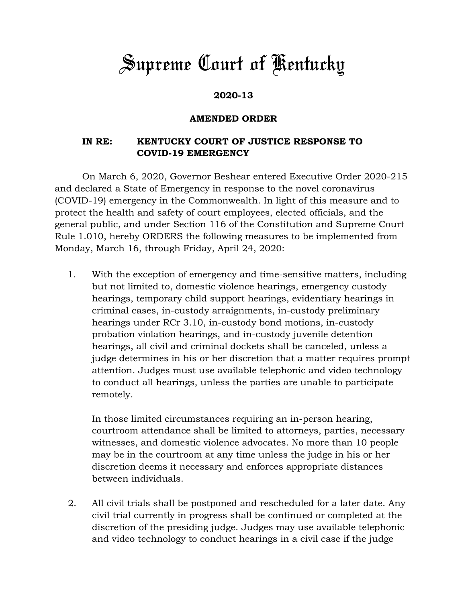## *Supreme Court of Kentucky*

## **2020-13**

## **AMENDED ORDER**

## **IN RE: KENTUCKY COURT OF JUSTICE RESPONSE TO COVID-19 EMERGENCY**

On March 6, 2020, Governor Beshear entered Executive Order 2020-215 and declared a State of Emergency in response to the novel coronavirus (COVID-19) emergency in the Commonwealth. In light of this measure and to protect the health and safety of court employees, elected officials, and the general public, and under Section 116 of the Constitution and Supreme Court Rule 1.010, hereby ORDERS the following measures to be implemented from Monday, March 16, through Friday, April 24, 2020:

1. With the exception of emergency and time-sensitive matters, including but not limited to, domestic violence hearings, emergency custody hearings, temporary child support hearings, evidentiary hearings in criminal cases, in-custody arraignments, in-custody preliminary hearings under RCr 3.10, in-custody bond motions, in-custody probation violation hearings, and in-custody juvenile detention hearings, all civil and criminal dockets shall be canceled, unless a judge determines in his or her discretion that a matter requires prompt attention. Judges must use available telephonic and video technology to conduct all hearings, unless the parties are unable to participate remotely.

In those limited circumstances requiring an in-person hearing, courtroom attendance shall be limited to attorneys, parties, necessary witnesses, and domestic violence advocates. No more than 10 people may be in the courtroom at any time unless the judge in his or her discretion deems it necessary and enforces appropriate distances between individuals.

2. All civil trials shall be postponed and rescheduled for a later date. Any civil trial currently in progress shall be continued or completed at the discretion of the presiding judge. Judges may use available telephonic and video technology to conduct hearings in a civil case if the judge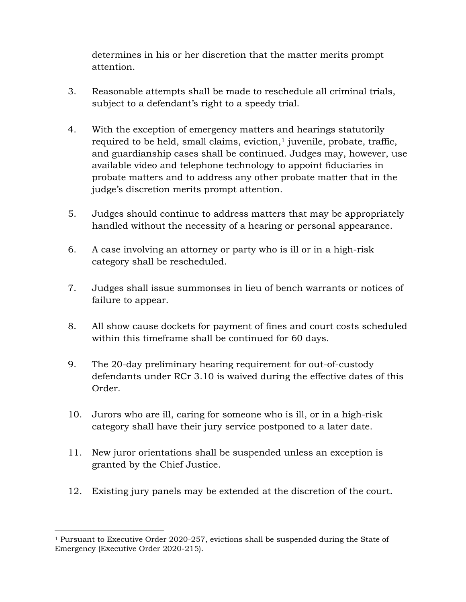determines in his or her discretion that the matter merits prompt attention.

- 3. Reasonable attempts shall be made to reschedule all criminal trials, subject to a defendant's right to a speedy trial.
- 4. With the exception of emergency matters and hearings statutorily required to be held, small claims, eviction, $<sup>1</sup>$  juvenile, probate, traffic,</sup> and guardianship cases shall be continued. Judges may, however, use available video and telephone technology to appoint fiduciaries in probate matters and to address any other probate matter that in the judge's discretion merits prompt attention.
- 5. Judges should continue to address matters that may be appropriately handled without the necessity of a hearing or personal appearance.
- 6. A case involving an attorney or party who is ill or in a high-risk category shall be rescheduled.
- 7. Judges shall issue summonses in lieu of bench warrants or notices of failure to appear.
- 8. All show cause dockets for payment of fines and court costs scheduled within this timeframe shall be continued for 60 days.
- 9. The 20-day preliminary hearing requirement for out-of-custody defendants under RCr 3.10 is waived during the effective dates of this Order.
- 10. Jurors who are ill, caring for someone who is ill, or in a high-risk category shall have their jury service postponed to a later date.
- 11. New juror orientations shall be suspended unless an exception is granted by the Chief Justice.
- 12. Existing jury panels may be extended at the discretion of the court.

 $\overline{a}$ <sup>1</sup> Pursuant to Executive Order 2020-257, evictions shall be suspended during the State of Emergency (Executive Order 2020-215).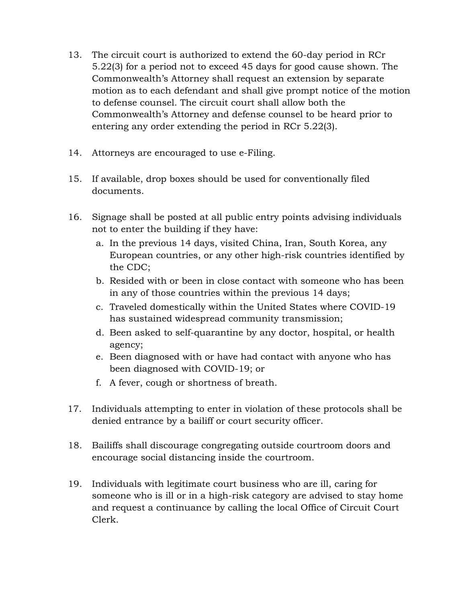- 13. The circuit court is authorized to extend the 60-day period in RCr 5.22(3) for a period not to exceed 45 days for good cause shown. The Commonwealth's Attorney shall request an extension by separate motion as to each defendant and shall give prompt notice of the motion to defense counsel. The circuit court shall allow both the Commonwealth's Attorney and defense counsel to be heard prior to entering any order extending the period in RCr 5.22(3).
- 14. Attorneys are encouraged to use e-Filing.
- 15. If available, drop boxes should be used for conventionally filed documents.
- 16. Signage shall be posted at all public entry points advising individuals not to enter the building if they have:
	- a. In the previous 14 days, visited China, Iran, South Korea, any European countries, or any other high-risk countries identified by the CDC;
	- b. Resided with or been in close contact with someone who has been in any of those countries within the previous 14 days;
	- c. Traveled domestically within the United States where COVID-19 has sustained widespread community transmission;
	- d. Been asked to self-quarantine by any doctor, hospital, or health agency;
	- e. Been diagnosed with or have had contact with anyone who has been diagnosed with COVID-19; or
	- f. A fever, cough or shortness of breath.
- 17. Individuals attempting to enter in violation of these protocols shall be denied entrance by a bailiff or court security officer.
- 18. Bailiffs shall discourage congregating outside courtroom doors and encourage social distancing inside the courtroom.
- 19. Individuals with legitimate court business who are ill, caring for someone who is ill or in a high-risk category are advised to stay home and request a continuance by calling the local Office of Circuit Court Clerk.